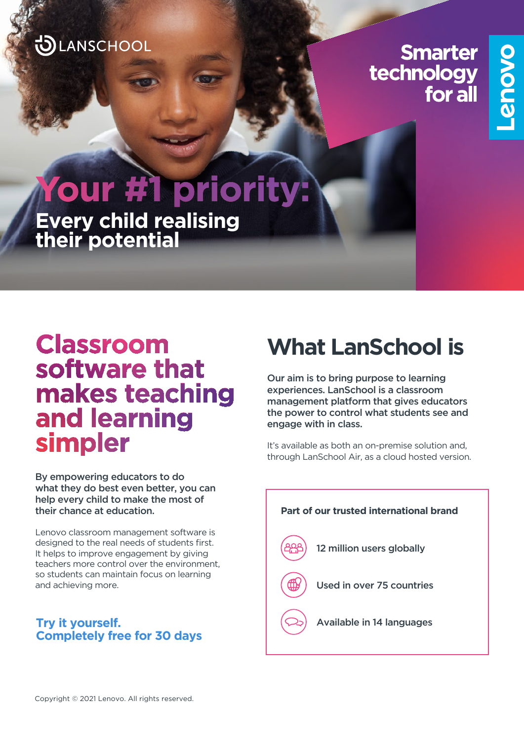### LANSCHOOL

**Smarter** technology for all

# our #1 priority: **Every child realising their potential**

## Classroom software that makes teaching and learning simpler

By empowering educators to do what they do best even better, you can help every child to make the most of their chance at education.

Lenovo classroom management software is designed to the real needs of students first. It helps to improve engagement by giving teachers more control over the environment, so students can maintain focus on learning and achieving more.

### **Try it yourself. Completely free for 30 days**

# **What LanSchool is**

Our aim is to bring purpose to learning experiences. LanSchool is a classroom management platform that gives educators the power to control what students see and engage with in class.

It's available as both an on-premise solution and, through LanSchool Air, as a cloud hosted version.